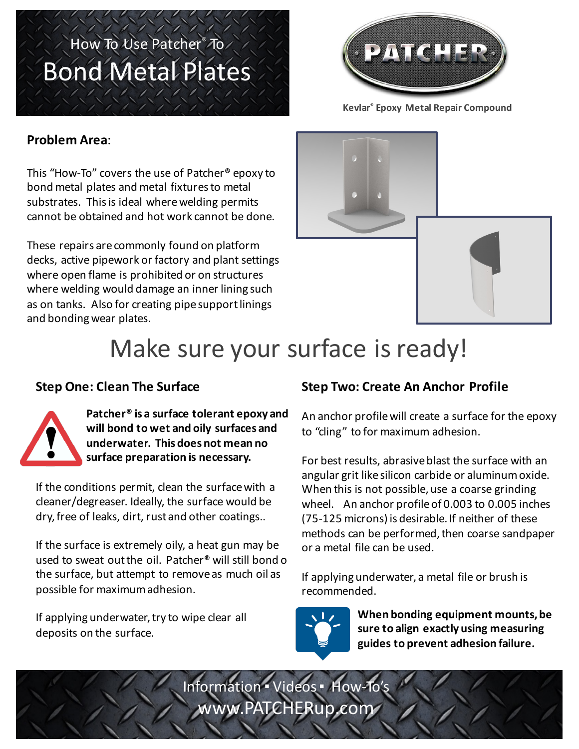## How To Use Patcher® To Bond Metal Plates



**Kevlar® Epoxy Metal Repair Compound**

#### **Problem Area**:

This "How-To" covers the use of Patcher<sup>®</sup> epoxy to bond metal plates and metal fixtures to metal substrates. This is ideal where welding permits cannot be obtained and hot work cannot be done.

These repairs are commonly found on platform decks, active pipework or factory and plant settings where open flame is prohibited or on structures where welding would damage an inner lining such as on tanks. Also for creating pipe support linings and bonding wear plates.





# Make sure your surface is ready!

### **Step One: Clean The Surface**



Patcher<sup>®</sup> is a surface tolerant epoxy and will bond to wet and oily surfaces and **underwater. This does not mean no**  surface preparation is necessary.

If the conditions permit, clean the surface with a cleaner/degreaser. Ideally, the surface would be dry, free of leaks, dirt, rust and other coatings..

If the surface is extremely oily, a heat gun may be used to sweat out the oil. Patcher<sup>®</sup> will still bond o the surface, but attempt to remove as much oil as possible for maximum adhesion.

If applying underwater, try to wipe clear all deposits on the surface.

### **Step Two: Create An Anchor Profile**

An anchor profile will create a surface for the epoxy to "cling" to for maximum adhesion.

For best results, abrasive blast the surface with an angular grit like silicon carbide or aluminum oxide. When this is not possible, use a coarse grinding wheel. An anchor profile of 0.003 to 0.005 inches (75-125 microns) is desirable. If neither of these methods can be performed, then coarse sandpaper or a metal file can be used.

If applying underwater, a metal file or brush is recommended.



When bonding equipment mounts, be sure to align exactly using measuring **guides to prevent adhesion failure.**

Information · Videos · How-To www.PATCHERup.com